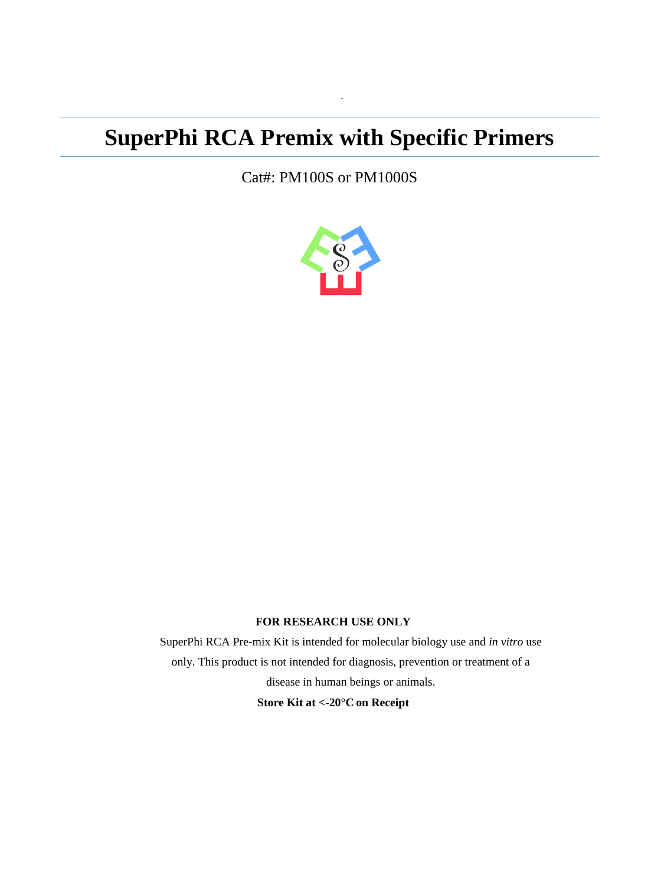# **SuperPhi RCA Premix with Specific Primers**

·

Cat#: PM100S or PM1000S



#### **FOR RESEARCH USE ONLY**

SuperPhi RCA Pre-mix Kit is intended for molecular biology use and *in vitro* use only. This product is not intended for diagnosis, prevention or treatment of a disease in human beings or animals. **Store Kit at <-20°C on Receipt**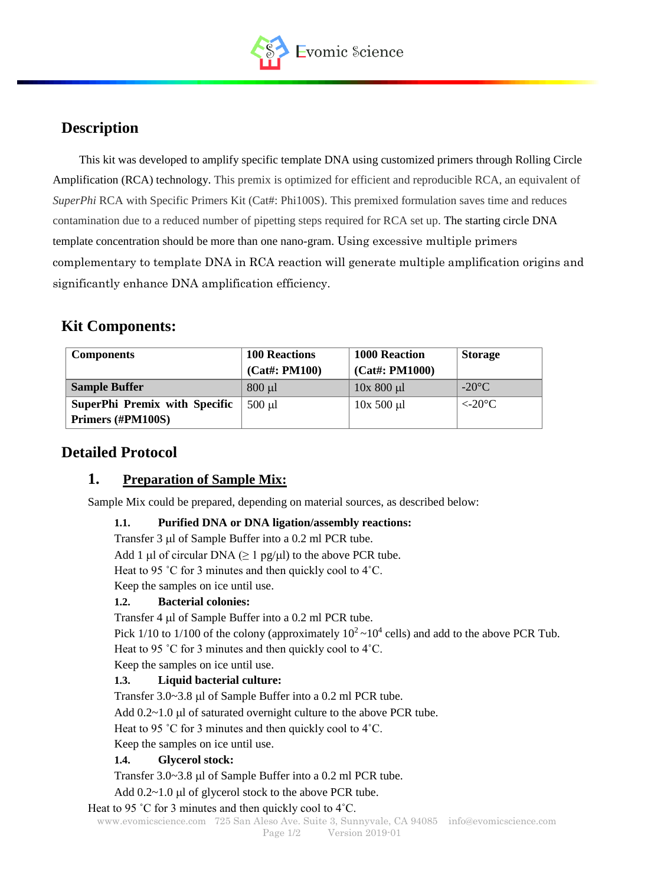

# **Description**

This kit was developed to amplify specific template DNA using customized primers through Rolling Circle Amplification (RCA) technology. This premix is optimized for efficient and reproducible RCA, an equivalent of *SuperPhi* RCA with Specific Primers Kit (Cat#: Phi100S). This premixed formulation saves time and reduces contamination due to a reduced number of pipetting steps required for RCA set up. The starting circle DNA template concentration should be more than one nano-gram. Using excessive multiple primers complementary to template DNA in RCA reaction will generate multiple amplification origins and significantly enhance DNA amplification efficiency.

# **Kit Components:**

| <b>Components</b>                    | <b>100 Reactions</b> | <b>1000 Reaction</b> | <b>Storage</b>   |
|--------------------------------------|----------------------|----------------------|------------------|
|                                      | $(Cat\#: PM100)$     | $(Cat\#: PM1000)$    |                  |
| <b>Sample Buffer</b>                 | $800 \mu l$          | $10x800 \mu l$       | $-20^{\circ}$ C  |
| <b>SuperPhi Premix with Specific</b> | $500$ $\mu$          | $10x$ 500 $\mu$ l    | $\epsilon$ -20°C |
| Primers (#PM100S)                    |                      |                      |                  |

# **Detailed Protocol**

## **1. Preparation of Sample Mix:**

Sample Mix could be prepared, depending on material sources, as described below:

#### **1.1. Purified DNA or DNA ligation/assembly reactions:**

Transfer  $3 \mu$ l of Sample Buffer into a 0.2 ml PCR tube.

Add 1 µl of circular DNA ( $\geq 1$  pg/ $\mu$ l) to the above PCR tube.

Heat to 95 ˚C for 3 minutes and then quickly cool to 4˚C.

Keep the samples on ice until use.

#### **1.2. Bacterial colonies:**

Transfer 4 µl of Sample Buffer into a 0.2 ml PCR tube.

Pick 1/10 to 1/100 of the colony (approximately  $10^2 \sim 10^4$  cells) and add to the above PCR Tub. Heat to 95 °C for 3 minutes and then quickly cool to 4°C.

Keep the samples on ice until use.

#### **1.3. Liquid bacterial culture:**

Transfer 3.0~3.8 µ of Sample Buffer into a 0.2 ml PCR tube.

Add  $0.2~1.0$  µl of saturated overnight culture to the above PCR tube.

Heat to 95 °C for 3 minutes and then quickly cool to 4°C.

Keep the samples on ice until use.

#### **1.4. Glycerol stock:**

Transfer 3.0~3.8 µl of Sample Buffer into a 0.2 ml PCR tube.

Add  $0.2~1.0$  µl of glycerol stock to the above PCR tube.

#### Heat to 95 ˚C for 3 minutes and then quickly cool to 4˚C.

[www.evomicscience.com](http://www.evomicscience.com/) 725 San Aleso Ave. Suite 3, Sunnyvale, CA 94085 info@evomicscience.com Page  $1/2$  Version 2019-01